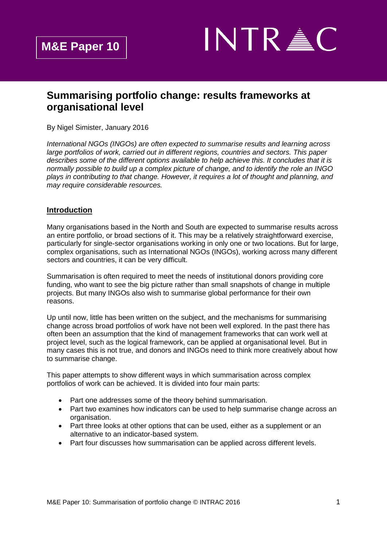

# **Summarising portfolio change: results frameworks at organisational level**

By Nigel Simister, January 2016

*International NGOs (INGOs) are often expected to summarise results and learning across large portfolios of work, carried out in different regions, countries and sectors. This paper describes some of the different options available to help achieve this. It concludes that it is normally possible to build up a complex picture of change, and to identify the role an INGO plays in contributing to that change. However, it requires a lot of thought and planning, and may require considerable resources.*

### **Introduction**

Many organisations based in the North and South are expected to summarise results across an entire portfolio, or broad sections of it. This may be a relatively straightforward exercise, particularly for single-sector organisations working in only one or two locations. But for large, complex organisations, such as International NGOs (INGOs), working across many different sectors and countries, it can be very difficult.

Summarisation is often required to meet the needs of institutional donors providing core funding, who want to see the big picture rather than small snapshots of change in multiple projects. But many INGOs also wish to summarise global performance for their own reasons.

Up until now, little has been written on the subject, and the mechanisms for summarising change across broad portfolios of work have not been well explored. In the past there has often been an assumption that the kind of management frameworks that can work well at project level, such as the logical framework, can be applied at organisational level. But in many cases this is not true, and donors and INGOs need to think more creatively about how to summarise change.

This paper attempts to show different ways in which summarisation across complex portfolios of work can be achieved. It is divided into four main parts:

- Part one addresses some of the theory behind summarisation.
- Part two examines how indicators can be used to help summarise change across an organisation.
- Part three looks at other options that can be used, either as a supplement or an alternative to an indicator-based system.
- Part four discusses how summarisation can be applied across different levels.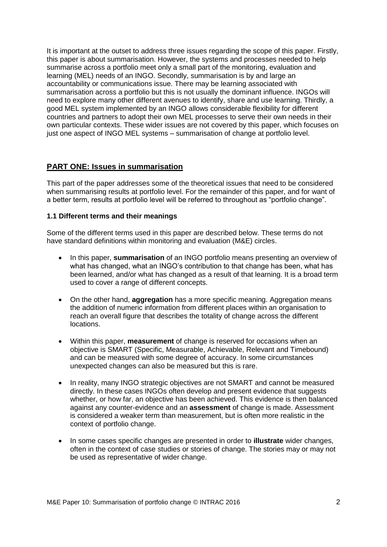It is important at the outset to address three issues regarding the scope of this paper. Firstly, this paper is about summarisation. However, the systems and processes needed to help summarise across a portfolio meet only a small part of the monitoring, evaluation and learning (MEL) needs of an INGO. Secondly, summarisation is by and large an accountability or communications issue. There may be learning associated with summarisation across a portfolio but this is not usually the dominant influence. INGOs will need to explore many other different avenues to identify, share and use learning. Thirdly, a good MEL system implemented by an INGO allows considerable flexibility for different countries and partners to adopt their own MEL processes to serve their own needs in their own particular contexts. These wider issues are not covered by this paper, which focuses on just one aspect of INGO MEL systems – summarisation of change at portfolio level.

### **PART ONE: Issues in summarisation**

This part of the paper addresses some of the theoretical issues that need to be considered when summarising results at portfolio level. For the remainder of this paper, and for want of a better term, results at portfolio level will be referred to throughout as "portfolio change".

#### **1.1 Different terms and their meanings**

Some of the different terms used in this paper are described below. These terms do not have standard definitions within monitoring and evaluation (M&E) circles.

- In this paper, **summarisation** of an INGO portfolio means presenting an overview of what has changed, what an INGO's contribution to that change has been, what has been learned, and/or what has changed as a result of that learning. It is a broad term used to cover a range of different concepts.
- On the other hand, **aggregation** has a more specific meaning. Aggregation means the addition of numeric information from different places within an organisation to reach an overall figure that describes the totality of change across the different locations.
- Within this paper, **measurement** of change is reserved for occasions when an objective is SMART (Specific, Measurable, Achievable, Relevant and Timebound) and can be measured with some degree of accuracy. In some circumstances unexpected changes can also be measured but this is rare.
- In reality, many INGO strategic objectives are not SMART and cannot be measured directly. In these cases INGOs often develop and present evidence that suggests whether, or how far, an objective has been achieved. This evidence is then balanced against any counter-evidence and an **assessment** of change is made. Assessment is considered a weaker term than measurement, but is often more realistic in the context of portfolio change.
- In some cases specific changes are presented in order to **illustrate** wider changes, often in the context of case studies or stories of change. The stories may or may not be used as representative of wider change.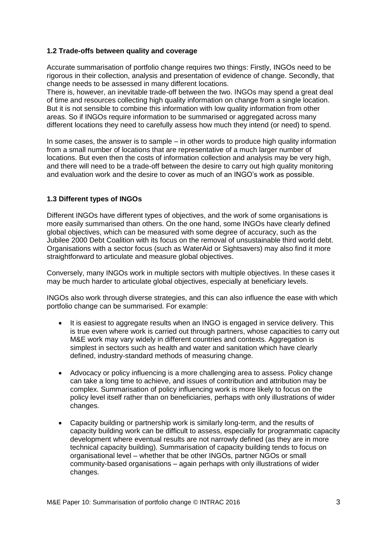### **1.2 Trade-offs between quality and coverage**

Accurate summarisation of portfolio change requires two things: Firstly, INGOs need to be rigorous in their collection, analysis and presentation of evidence of change. Secondly, that change needs to be assessed in many different locations.

There is, however, an inevitable trade-off between the two. INGOs may spend a great deal of time and resources collecting high quality information on change from a single location. But it is not sensible to combine this information with low quality information from other areas. So if INGOs require information to be summarised or aggregated across many different locations they need to carefully assess how much they intend (or need) to spend.

In some cases, the answer is to sample – in other words to produce high quality information from a small number of locations that are representative of a much larger number of locations. But even then the costs of information collection and analysis may be very high, and there will need to be a trade-off between the desire to carry out high quality monitoring and evaluation work and the desire to cover as much of an INGO's work as possible.

# **1.3 Different types of INGOs**

Different INGOs have different types of objectives, and the work of some organisations is more easily summarised than others. On the one hand, some INGOs have clearly defined global objectives, which can be measured with some degree of accuracy, such as the Jubilee 2000 Debt Coalition with its focus on the removal of unsustainable third world debt. Organisations with a sector focus (such as WaterAid or Sightsavers) may also find it more straightforward to articulate and measure global objectives.

Conversely, many INGOs work in multiple sectors with multiple objectives. In these cases it may be much harder to articulate global objectives, especially at beneficiary levels.

INGOs also work through diverse strategies, and this can also influence the ease with which portfolio change can be summarised. For example:

- It is easiest to aggregate results when an INGO is engaged in service delivery. This is true even where work is carried out through partners, whose capacities to carry out M&E work may vary widely in different countries and contexts. Aggregation is simplest in sectors such as health and water and sanitation which have clearly defined, industry-standard methods of measuring change.
- Advocacy or policy influencing is a more challenging area to assess. Policy change can take a long time to achieve, and issues of contribution and attribution may be complex. Summarisation of policy influencing work is more likely to focus on the policy level itself rather than on beneficiaries, perhaps with only illustrations of wider changes.
- Capacity building or partnership work is similarly long-term, and the results of capacity building work can be difficult to assess, especially for programmatic capacity development where eventual results are not narrowly defined (as they are in more technical capacity building). Summarisation of capacity building tends to focus on organisational level – whether that be other INGOs, partner NGOs or small community-based organisations – again perhaps with only illustrations of wider changes.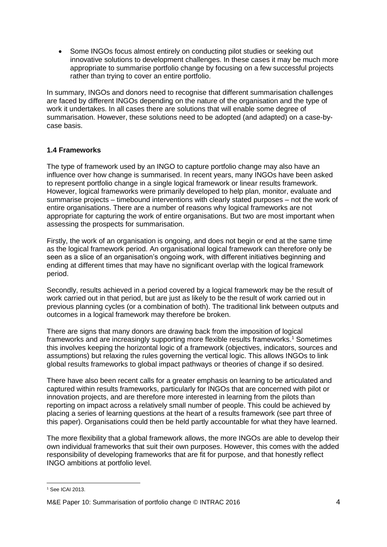Some INGOs focus almost entirely on conducting pilot studies or seeking out innovative solutions to development challenges. In these cases it may be much more appropriate to summarise portfolio change by focusing on a few successful projects rather than trying to cover an entire portfolio.

In summary, INGOs and donors need to recognise that different summarisation challenges are faced by different INGOs depending on the nature of the organisation and the type of work it undertakes. In all cases there are solutions that will enable some degree of summarisation. However, these solutions need to be adopted (and adapted) on a case-bycase basis.

### **1.4 Frameworks**

The type of framework used by an INGO to capture portfolio change may also have an influence over how change is summarised. In recent years, many INGOs have been asked to represent portfolio change in a single logical framework or linear results framework. However, logical frameworks were primarily developed to help plan, monitor, evaluate and summarise projects – timebound interventions with clearly stated purposes – not the work of entire organisations. There are a number of reasons why logical frameworks are not appropriate for capturing the work of entire organisations. But two are most important when assessing the prospects for summarisation.

Firstly, the work of an organisation is ongoing, and does not begin or end at the same time as the logical framework period. An organisational logical framework can therefore only be seen as a slice of an organisation's ongoing work, with different initiatives beginning and ending at different times that may have no significant overlap with the logical framework period.

Secondly, results achieved in a period covered by a logical framework may be the result of work carried out in that period, but are just as likely to be the result of work carried out in previous planning cycles (or a combination of both). The traditional link between outputs and outcomes in a logical framework may therefore be broken.

There are signs that many donors are drawing back from the imposition of logical frameworks and are increasingly supporting more flexible results frameworks. <sup>1</sup> Sometimes this involves keeping the horizontal logic of a framework (objectives, indicators, sources and assumptions) but relaxing the rules governing the vertical logic. This allows INGOs to link global results frameworks to global impact pathways or theories of change if so desired.

There have also been recent calls for a greater emphasis on learning to be articulated and captured within results frameworks, particularly for INGOs that are concerned with pilot or innovation projects, and are therefore more interested in learning from the pilots than reporting on impact across a relatively small number of people. This could be achieved by placing a series of learning questions at the heart of a results framework (see part three of this paper). Organisations could then be held partly accountable for what they have learned.

The more flexibility that a global framework allows, the more INGOs are able to develop their own individual frameworks that suit their own purposes. However, this comes with the added responsibility of developing frameworks that are fit for purpose, and that honestly reflect INGO ambitions at portfolio level.

 $\overline{a}$ <sup>1</sup> See ICAI 2013.

M&E Paper 10: Summarisation of portfolio change © [INTRAC](http://www.intrac.org/) 2016 4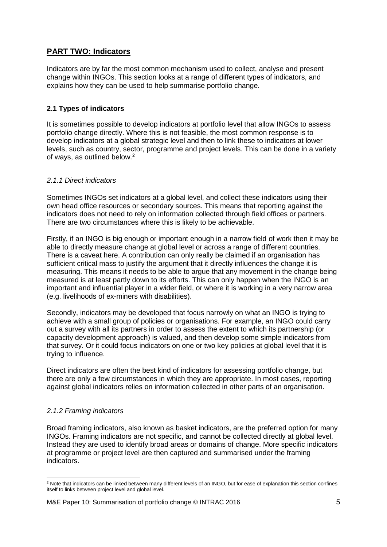# **PART TWO: Indicators**

Indicators are by far the most common mechanism used to collect, analyse and present change within INGOs. This section looks at a range of different types of indicators, and explains how they can be used to help summarise portfolio change.

# **2.1 Types of indicators**

It is sometimes possible to develop indicators at portfolio level that allow INGOs to assess portfolio change directly. Where this is not feasible, the most common response is to develop indicators at a global strategic level and then to link these to indicators at lower levels, such as country, sector, programme and project levels. This can be done in a variety of ways, as outlined below.<sup>2</sup>

### *2.1.1 Direct indicators*

Sometimes INGOs set indicators at a global level, and collect these indicators using their own head office resources or secondary sources. This means that reporting against the indicators does not need to rely on information collected through field offices or partners. There are two circumstances where this is likely to be achievable.

Firstly, if an INGO is big enough or important enough in a narrow field of work then it may be able to directly measure change at global level or across a range of different countries. There is a caveat here. A contribution can only really be claimed if an organisation has sufficient critical mass to justify the argument that it directly influences the change it is measuring. This means it needs to be able to argue that any movement in the change being measured is at least partly down to its efforts. This can only happen when the INGO is an important and influential player in a wider field, or where it is working in a very narrow area (e.g. livelihoods of ex-miners with disabilities).

Secondly, indicators may be developed that focus narrowly on what an INGO is trying to achieve with a small group of policies or organisations. For example, an INGO could carry out a survey with all its partners in order to assess the extent to which its partnership (or capacity development approach) is valued, and then develop some simple indicators from that survey. Or it could focus indicators on one or two key policies at global level that it is trying to influence.

Direct indicators are often the best kind of indicators for assessing portfolio change, but there are only a few circumstances in which they are appropriate. In most cases, reporting against global indicators relies on information collected in other parts of an organisation.

# *2.1.2 Framing indicators*

Broad framing indicators, also known as basket indicators, are the preferred option for many INGOs. Framing indicators are not specific, and cannot be collected directly at global level. Instead they are used to identify broad areas or domains of change. More specific indicators at programme or project level are then captured and summarised under the framing indicators.

 $\overline{a}$ <sup>2</sup> Note that indicators can be linked between many different levels of an INGO, but for ease of explanation this section confines itself to links between project level and global level.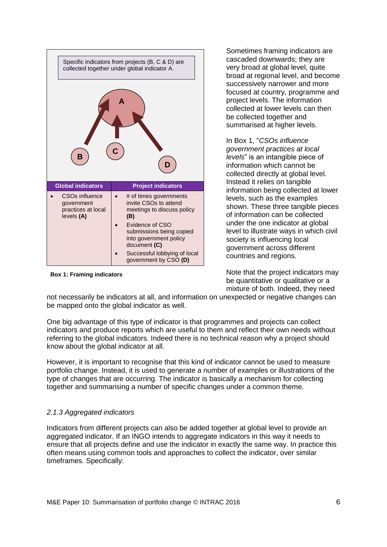

**Box 1: Framing indicators**

Sometimes framing indicators are cascaded downwards; they are very broad at global level, quite broad at regional level, and become successively narrower and more focused at country, programme and project levels. The information collected at lower levels can then be collected together and summarised at higher levels.

In Box 1, "*CSOs influence government practices at local levels*" is an intangible piece of information which cannot be collected directly at global level. Instead it relies on tangible information being collected at lower levels, such as the examples shown. These three tangible pieces of information can be collected under the one indicator at global level to illustrate ways in which civil society is influencing local government across different countries and regions.

Note that the project indicators may be quantitative or qualitative or a mixture of both. Indeed, they need

not necessarily be indicators at all, and information on unexpected or negative changes can be mapped onto the global indicator as well.

One big advantage of this type of indicator is that programmes and projects can collect indicators and produce reports which are useful to them and reflect their own needs without referring to the global indicators. Indeed there is no technical reason why a project should know about the global indicator at all.

However, it is important to recognise that this kind of indicator cannot be used to measure portfolio change. Instead, it is used to generate a number of examples or illustrations of the type of changes that are occurring. The indicator is basically a mechanism for collecting together and summarising a number of specific changes under a common theme.

### *2.1.3 Aggregated indicators*

Indicators from different projects can also be added together at global level to provide an aggregated indicator. If an INGO intends to aggregate indicators in this way it needs to ensure that all projects define and use the indicator in exactly the same way. In practice this often means using common tools and approaches to collect the indicator, over similar timeframes. Specifically: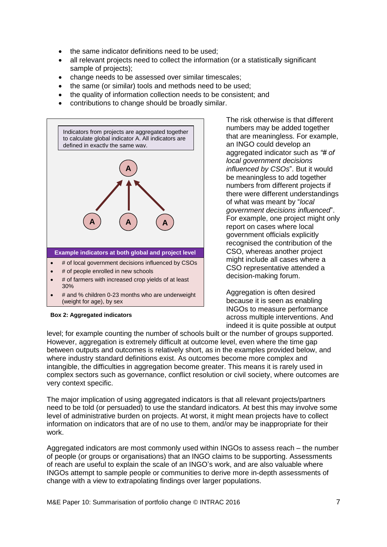- the same indicator definitions need to be used;
- all relevant projects need to collect the information (or a statistically significant sample of projects);
- change needs to be assessed over similar timescales;
- the same (or similar) tools and methods need to be used;
- the quality of information collection needs to be consistent; and
- contributions to change should be broadly similar.



The risk otherwise is that different numbers may be added together that are meaningless. For example, an INGO could develop an aggregated indicator such as *"# of local government decisions influenced by CSOs*". But it would be meaningless to add together numbers from different projects if there were different understandings of what was meant by "*local government decisions influenced*". For example, one project might only report on cases where local government officials explicitly recognised the contribution of the CSO, whereas another project might include all cases where a CSO representative attended a decision-making forum.

Aggregation is often desired because it is seen as enabling INGOs to measure performance across multiple interventions. And indeed it is quite possible at output

#### **Box 2: Aggregated indicators**

level; for example counting the number of schools built or the number of groups supported. However, aggregation is extremely difficult at outcome level, even where the time gap between outputs and outcomes is relatively short, as in the examples provided below, and where industry standard definitions exist. As outcomes become more complex and intangible, the difficulties in aggregation become greater. This means it is rarely used in complex sectors such as governance, conflict resolution or civil society, where outcomes are very context specific.

The major implication of using aggregated indicators is that all relevant projects/partners need to be told (or persuaded) to use the standard indicators. At best this may involve some level of administrative burden on projects. At worst, it might mean projects have to collect information on indicators that are of no use to them, and/or may be inappropriate for their work.

Aggregated indicators are most commonly used within INGOs to assess reach – the number of people (or groups or organisations) that an INGO claims to be supporting. Assessments of reach are useful to explain the scale of an INGO's work, and are also valuable where INGOs attempt to sample people or communities to derive more in-depth assessments of change with a view to extrapolating findings over larger populations.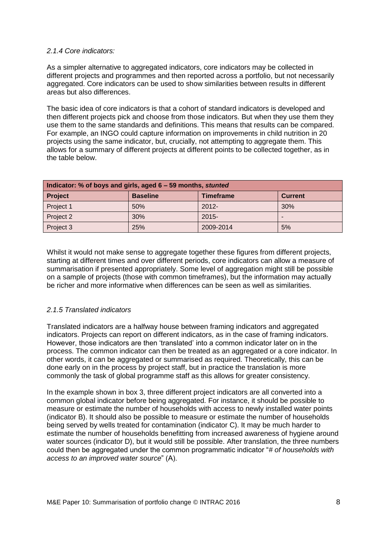#### *2.1.4 Core indicators:*

As a simpler alternative to aggregated indicators, core indicators may be collected in different projects and programmes and then reported across a portfolio, but not necessarily aggregated. Core indicators can be used to show similarities between results in different areas but also differences.

The basic idea of core indicators is that a cohort of standard indicators is developed and then different projects pick and choose from those indicators. But when they use them they use them to the same standards and definitions. This means that results can be compared. For example, an INGO could capture information on improvements in child nutrition in 20 projects using the same indicator, but, crucially, not attempting to aggregate them. This allows for a summary of different projects at different points to be collected together, as in the table below.

| Indicator: % of boys and girls, aged 6 – 59 months, stunted |                 |                  |                |  |
|-------------------------------------------------------------|-----------------|------------------|----------------|--|
| <b>Project</b>                                              | <b>Baseline</b> | <b>Timeframe</b> | <b>Current</b> |  |
| Project 1                                                   | 50%             | $2012 -$         | 30%            |  |
| Project 2                                                   | 30%             | $2015 -$         |                |  |
| Project 3                                                   | 25%             | 2009-2014        | 5%             |  |

Whilst it would not make sense to aggregate together these figures from different projects, starting at different times and over different periods, core indicators can allow a measure of summarisation if presented appropriately. Some level of aggregation might still be possible on a sample of projects (those with common timeframes), but the information may actually be richer and more informative when differences can be seen as well as similarities.

### *2.1.5 Translated indicators*

Translated indicators are a halfway house between framing indicators and aggregated indicators. Projects can report on different indicators, as in the case of framing indicators. However, those indicators are then 'translated' into a common indicator later on in the process. The common indicator can then be treated as an aggregated or a core indicator. In other words, it can be aggregated or summarised as required. Theoretically, this can be done early on in the process by project staff, but in practice the translation is more commonly the task of global programme staff as this allows for greater consistency.

In the example shown in box 3, three different project indicators are all converted into a common global indicator before being aggregated. For instance, it should be possible to measure or estimate the number of households with access to newly installed water points (indicator B). It should also be possible to measure or estimate the number of households being served by wells treated for contamination (indicator C). It may be much harder to estimate the number of households benefitting from increased awareness of hygiene around water sources (indicator D), but it would still be possible. After translation, the three numbers could then be aggregated under the common programmatic indicator "*# of households with access to an improved water source*" (A).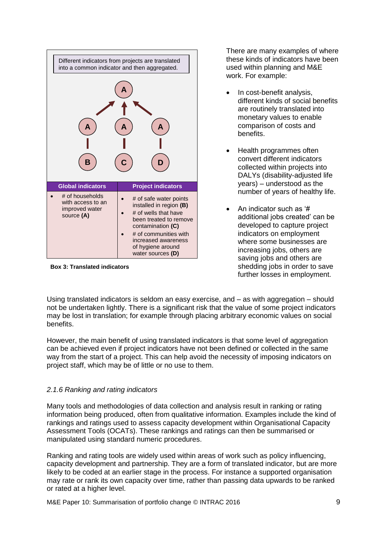

**Box 3: Translated indicators**

There are many examples of where these kinds of indicators have been used within planning and M&E work. For example:

- In cost-benefit analysis, different kinds of social benefits are routinely translated into monetary values to enable comparison of costs and benefits.
- Health programmes often convert different indicators collected within projects into DALYs (disability-adjusted life years) – understood as the number of years of healthy life.
- An indicator such as '# additional jobs created' can be developed to capture project indicators on employment where some businesses are increasing jobs, others are saving jobs and others are shedding jobs in order to save further losses in employment.

Using translated indicators is seldom an easy exercise, and – as with aggregation – should not be undertaken lightly. There is a significant risk that the value of some project indicators may be lost in translation; for example through placing arbitrary economic values on social benefits.

However, the main benefit of using translated indicators is that some level of aggregation can be achieved even if project indicators have not been defined or collected in the same way from the start of a project. This can help avoid the necessity of imposing indicators on project staff, which may be of little or no use to them.

# *2.1.6 Ranking and rating indicators*

Many tools and methodologies of data collection and analysis result in ranking or rating information being produced, often from qualitative information. Examples include the kind of rankings and ratings used to assess capacity development within Organisational Capacity Assessment Tools (OCATs). These rankings and ratings can then be summarised or manipulated using standard numeric procedures.

Ranking and rating tools are widely used within areas of work such as policy influencing, capacity development and partnership. They are a form of translated indicator, but are more likely to be coded at an earlier stage in the process. For instance a supported organisation may rate or rank its own capacity over time, rather than passing data upwards to be ranked or rated at a higher level.

M&E Paper 10: Summarisation of portfolio change © [INTRAC](http://www.intrac.org/) 2016 9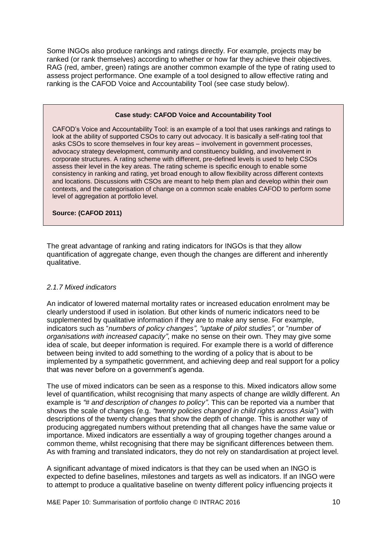Some INGOs also produce rankings and ratings directly. For example, projects may be ranked (or rank themselves) according to whether or how far they achieve their objectives. RAG (red, amber, green) ratings are another common example of the type of rating used to assess project performance. One example of a tool designed to allow effective rating and ranking is the CAFOD Voice and Accountability Tool (see case study below).

#### **Case study: CAFOD Voice and Accountability Tool**

CAFOD's Voice and Accountability Tool: is an example of a tool that uses rankings and ratings to look at the ability of supported CSOs to carry out advocacy. It is basically a self-rating tool that asks CSOs to score themselves in four key areas – involvement in government processes, advocacy strategy development, community and constituency building, and involvement in corporate structures. A rating scheme with different, pre-defined levels is used to help CSOs assess their level in the key areas. The rating scheme is specific enough to enable some consistency in ranking and rating, yet broad enough to allow flexibility across different contexts and locations. Discussions with CSOs are meant to help them plan and develop within their own contexts, and the categorisation of change on a common scale enables CAFOD to perform some level of aggregation at portfolio level.

**Source: (CAFOD 2011)**

The great advantage of ranking and rating indicators for INGOs is that they allow quantification of aggregate change, even though the changes are different and inherently qualitative.

#### *2.1.7 Mixed indicators*

An indicator of lowered maternal mortality rates or increased education enrolment may be clearly understood if used in isolation. But other kinds of numeric indicators need to be supplemented by qualitative information if they are to make any sense. For example, indicators such as "*numbers of policy changes", "uptake of pilot studies"*, or "*number of organisations with increased capacity"*, make no sense on their own. They may give some idea of scale, but deeper information is required. For example there is a world of difference between being invited to add something to the wording of a policy that is about to be implemented by a sympathetic government, and achieving deep and real support for a policy that was never before on a government's agenda.

The use of mixed indicators can be seen as a response to this. Mixed indicators allow some level of quantification, whilst recognising that many aspects of change are wildly different. An example is *"# and description of changes to policy"*. This can be reported via a number that shows the scale of changes (e.g. *"twenty policies changed in child rights across Asia*") with descriptions of the twenty changes that show the depth of change. This is another way of producing aggregated numbers without pretending that all changes have the same value or importance. Mixed indicators are essentially a way of grouping together changes around a common theme, whilst recognising that there may be significant differences between them. As with framing and translated indicators, they do not rely on standardisation at project level.

A significant advantage of mixed indicators is that they can be used when an INGO is expected to define baselines, milestones and targets as well as indicators. If an INGO were to attempt to produce a qualitative baseline on twenty different policy influencing projects it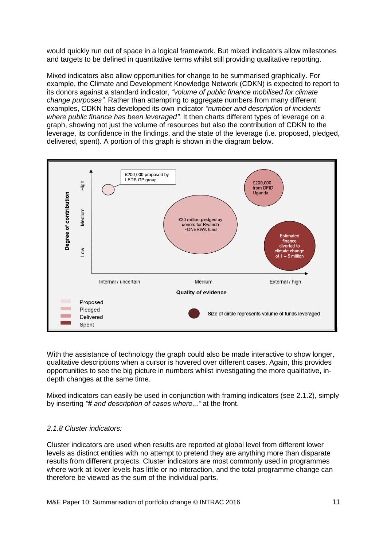would quickly run out of space in a logical framework. But mixed indicators allow milestones and targets to be defined in quantitative terms whilst still providing qualitative reporting.

Mixed indicators also allow opportunities for change to be summarised graphically. For example, the Climate and Development Knowledge Network (CDKN) is expected to report to its donors against a standard indicator, *"volume of public finance mobilised for climate change purposes"*. Rather than attempting to aggregate numbers from many different examples, CDKN has developed its own indicator *"number and description of incidents where public finance has been leveraged"*. It then charts different types of leverage on a graph, showing not just the volume of resources but also the contribution of CDKN to the leverage, its confidence in the findings, and the state of the leverage (i.e. proposed, pledged, delivered, spent). A portion of this graph is shown in the diagram below.



With the assistance of technology the graph could also be made interactive to show longer, qualitative descriptions when a cursor is hovered over different cases. Again, this provides opportunities to see the big picture in numbers whilst investigating the more qualitative, indepth changes at the same time.

Mixed indicators can easily be used in conjunction with framing indicators (see 2.1.2), simply by inserting *"# and description of cases where..."* at the front.

#### *2.1.8 Cluster indicators:*

Cluster indicators are used when results are reported at global level from different lower levels as distinct entities with no attempt to pretend they are anything more than disparate results from different projects. Cluster indicators are most commonly used in programmes where work at lower levels has little or no interaction, and the total programme change can therefore be viewed as the sum of the individual parts.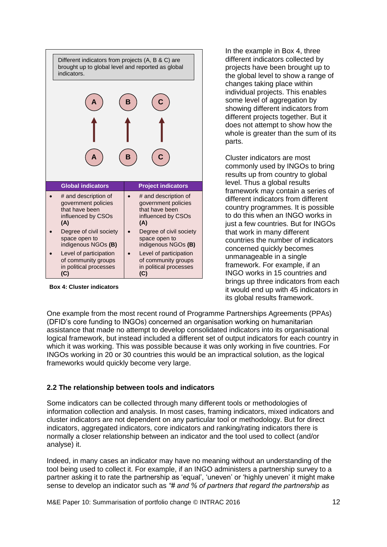| Different indicators from projects (A, B & C) are<br>brought up to global level and reported as global<br>indicators. |                                                                                            |                                                                                            |
|-----------------------------------------------------------------------------------------------------------------------|--------------------------------------------------------------------------------------------|--------------------------------------------------------------------------------------------|
|                                                                                                                       |                                                                                            | Β                                                                                          |
|                                                                                                                       |                                                                                            |                                                                                            |
|                                                                                                                       |                                                                                            | в                                                                                          |
|                                                                                                                       | <b>Global indicators</b>                                                                   | <b>Project indicators</b>                                                                  |
|                                                                                                                       |                                                                                            |                                                                                            |
|                                                                                                                       | # and description of<br>government policies<br>that have been<br>influenced by CSOs<br>(A) | # and description of<br>government policies<br>that have been<br>influenced by CSOs<br>(A) |
|                                                                                                                       | Degree of civil society<br>space open to<br>indigenous NGOs (B)                            | Degree of civil society<br>space open to<br>indigenous NGOs (B)                            |

**Box 4: Cluster indicators**

In the example in Box 4, three different indicators collected by projects have been brought up to the global level to show a range of changes taking place within individual projects. This enables some level of aggregation by showing different indicators from different projects together. But it does not attempt to show how the whole is greater than the sum of its parts.

Cluster indicators are most commonly used by INGOs to bring results up from country to global level. Thus a global results framework may contain a series of different indicators from different country programmes. It is possible to do this when an INGO works in just a few countries. But for INGOs that work in many different countries the number of indicators concerned quickly becomes unmanageable in a single framework. For example, if an INGO works in 15 countries and brings up three indicators from each it would end up with 45 indicators in its global results framework.

One example from the most recent round of Programme Partnerships Agreements (PPAs) (DFID's core funding to INGOs) concerned an organisation working on humanitarian assistance that made no attempt to develop consolidated indicators into its organisational logical framework, but instead included a different set of output indicators for each country in which it was working. This was possible because it was only working in five countries. For INGOs working in 20 or 30 countries this would be an impractical solution, as the logical frameworks would quickly become very large.

# **2.2 The relationship between tools and indicators**

Some indicators can be collected through many different tools or methodologies of information collection and analysis. In most cases, framing indicators, mixed indicators and cluster indicators are not dependent on any particular tool or methodology. But for direct indicators, aggregated indicators, core indicators and ranking/rating indicators there is normally a closer relationship between an indicator and the tool used to collect (and/or analyse) it.

Indeed, in many cases an indicator may have no meaning without an understanding of the tool being used to collect it. For example, if an INGO administers a partnership survey to a partner asking it to rate the partnership as 'equal', 'uneven' or 'highly uneven' it might make sense to develop an indicator such as *"# and % of partners that regard the partnership as*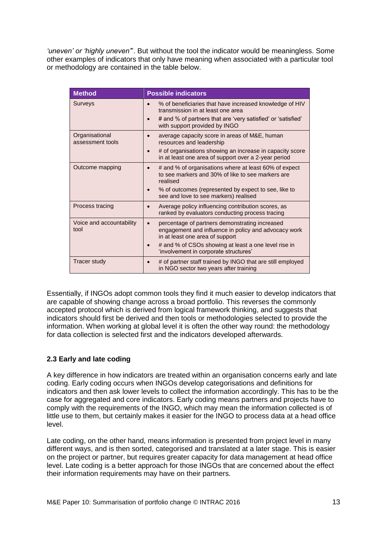*'uneven' or 'highly uneven'*". But without the tool the indicator would be meaningless. Some other examples of indicators that only have meaning when associated with a particular tool or methodology are contained in the table below.

| <b>Method</b>                      | <b>Possible indicators</b>                                                                                                                                                                                              |  |
|------------------------------------|-------------------------------------------------------------------------------------------------------------------------------------------------------------------------------------------------------------------------|--|
| <b>Surveys</b>                     | % of beneficiaries that have increased knowledge of HIV<br>$\bullet$<br>transmission in at least one area<br># and % of partners that are 'very satisfied' or 'satisfied'<br>$\bullet$<br>with support provided by INGO |  |
| Organisational<br>assessment tools | average capacity score in areas of M&E, human<br>resources and leadership                                                                                                                                               |  |
|                                    | # of organisations showing an increase in capacity score<br>$\bullet$<br>in at least one area of support over a 2-year period                                                                                           |  |
| Outcome mapping                    | # and % of organisations where at least 60% of expect<br>$\bullet$<br>to see markers and 30% of like to see markers are<br>realised                                                                                     |  |
|                                    | % of outcomes (represented by expect to see, like to<br>$\bullet$<br>see and love to see markers) realised                                                                                                              |  |
| Process tracing                    | Average policy influencing contribution scores, as<br>$\bullet$<br>ranked by evaluators conducting process tracing                                                                                                      |  |
| Voice and accountability<br>tool   | percentage of partners demonstrating increased<br>$\bullet$<br>engagement and influence in policy and advocacy work<br>in at least one area of support                                                                  |  |
|                                    | # and % of CSOs showing at least a one level rise in<br>$\bullet$<br>'involvement in corporate structures'                                                                                                              |  |
| <b>Tracer study</b>                | # of partner staff trained by INGO that are still employed<br>$\bullet$<br>in NGO sector two years after training                                                                                                       |  |

Essentially, if INGOs adopt common tools they find it much easier to develop indicators that are capable of showing change across a broad portfolio. This reverses the commonly accepted protocol which is derived from logical framework thinking, and suggests that indicators should first be derived and then tools or methodologies selected to provide the information. When working at global level it is often the other way round: the methodology for data collection is selected first and the indicators developed afterwards.

### **2.3 Early and late coding**

A key difference in how indicators are treated within an organisation concerns early and late coding. Early coding occurs when INGOs develop categorisations and definitions for indicators and then ask lower levels to collect the information accordingly. This has to be the case for aggregated and core indicators. Early coding means partners and projects have to comply with the requirements of the INGO, which may mean the information collected is of little use to them, but certainly makes it easier for the INGO to process data at a head office level.

Late coding, on the other hand, means information is presented from project level in many different ways, and is then sorted, categorised and translated at a later stage. This is easier on the project or partner, but requires greater capacity for data management at head office level. Late coding is a better approach for those INGOs that are concerned about the effect their information requirements may have on their partners.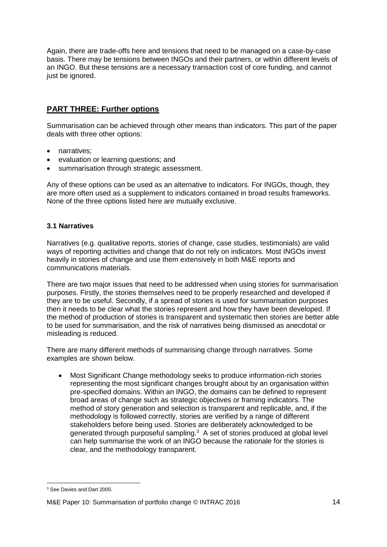Again, there are trade-offs here and tensions that need to be managed on a case-by-case basis. There may be tensions between INGOs and their partners, or within different levels of an INGO. But these tensions are a necessary transaction cost of core funding, and cannot just be ignored.

# **PART THREE: Further options**

Summarisation can be achieved through other means than indicators. This part of the paper deals with three other options:

- narratives;
- evaluation or learning questions; and
- summarisation through strategic assessment.

Any of these options can be used as an alternative to indicators. For INGOs, though, they are more often used as a supplement to indicators contained in broad results frameworks. None of the three options listed here are mutually exclusive.

### **3.1 Narratives**

Narratives (e.g. qualitative reports, stories of change, case studies, testimonials) are valid ways of reporting activities and change that do not rely on indicators. Most INGOs invest heavily in stories of change and use them extensively in both M&E reports and communications materials.

There are two major issues that need to be addressed when using stories for summarisation purposes. Firstly, the stories themselves need to be properly researched and developed if they are to be useful. Secondly, if a spread of stories is used for summarisation purposes then it needs to be clear what the stories represent and how they have been developed. If the method of production of stories is transparent and systematic then stories are better able to be used for summarisation, and the risk of narratives being dismissed as anecdotal or misleading is reduced.

There are many different methods of summarising change through narratives. Some examples are shown below.

 Most Significant Change methodology seeks to produce information-rich stories representing the most significant changes brought about by an organisation within pre-specified domains. Within an INGO, the domains can be defined to represent broad areas of change such as strategic objectives or framing indicators. The method of story generation and selection is transparent and replicable, and, if the methodology is followed correctly, stories are verified by a range of different stakeholders before being used. Stories are deliberately acknowledged to be generated through purposeful sampling.<sup>3</sup> A set of stories produced at global level can help summarise the work of an INGO because the rationale for the stories is clear, and the methodology transparent.

 $\overline{a}$ <sup>3</sup> See Davies and Dart 2005.

M&E Paper 10: Summarisation of portfolio change © [INTRAC](http://www.intrac.org/) 2016 14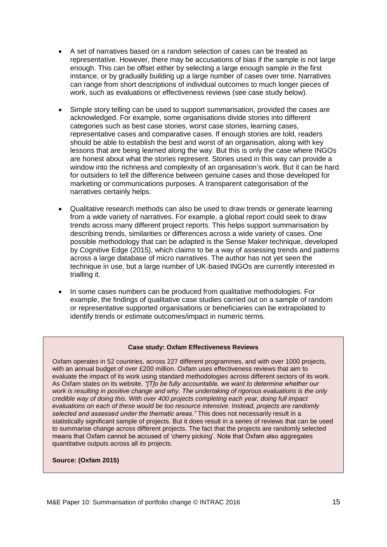- A set of narratives based on a random selection of cases can be treated as representative. However, there may be accusations of bias if the sample is not large enough. This can be offset either by selecting a large enough sample in the first instance, or by gradually building up a large number of cases over time. Narratives can range from short descriptions of individual outcomes to much longer pieces of work, such as evaluations or effectiveness reviews (see case study below).
- Simple story telling can be used to support summarisation, provided the cases are acknowledged. For example, some organisations divide stories into different categories such as best case stories, worst case stories, learning cases, representative cases and comparative cases. If enough stories are told, readers should be able to establish the best and worst of an organisation, along with key lessons that are being learned along the way. But this is only the case where INGOs are honest about what the stories represent. Stories used in this way can provide a window into the richness and complexity of an organisation's work. But it can be hard for outsiders to tell the difference between genuine cases and those developed for marketing or communications purposes. A transparent categorisation of the narratives certainly helps.
- Qualitative research methods can also be used to draw trends or generate learning from a wide variety of narratives. For example, a global report could seek to draw trends across many different project reports. This helps support summarisation by describing trends, similarities or differences across a wide variety of cases. One possible methodology that can be adapted is the Sense Maker technique, developed by Cognitive Edge (2015), which claims to be a way of assessing trends and patterns across a large database of micro narratives. The author has not yet seen the technique in use, but a large number of UK-based INGOs are currently interested in trialling it.
- In some cases numbers can be produced from qualitative methodologies. For example, the findings of qualitative case studies carried out on a sample of random or representative supported organisations or beneficiaries can be extrapolated to identify trends or estimate outcomes/impact in numeric terms.

#### **Case study: Oxfam Effectiveness Reviews**

Oxfam operates in 52 countries, across 227 different programmes, and with over 1000 projects, with an annual budget of over £200 million. Oxfam uses effectiveness reviews that aim to evaluate the impact of its work using standard methodologies across different sectors of its work. As Oxfam states on its website, *"[T]o be fully accountable, we want to determine whether our work is resulting in positive change and why. The undertaking of rigorous evaluations is the only credible way of doing this. With over 400 projects completing each year, doing full impact evaluations on each of these would be too resource intensive. Instead, projects are randomly selected and assessed under the thematic areas."* This does not necessarily result in a statistically significant sample of projects. But it does result in a series of reviews that can be used to summarise change across different projects. The fact that the projects are randomly selected means that Oxfam cannot be accused of 'cherry picking'. Note that Oxfam also aggregates quantitative outputs across all its projects.

#### **Source: (Oxfam 2015)**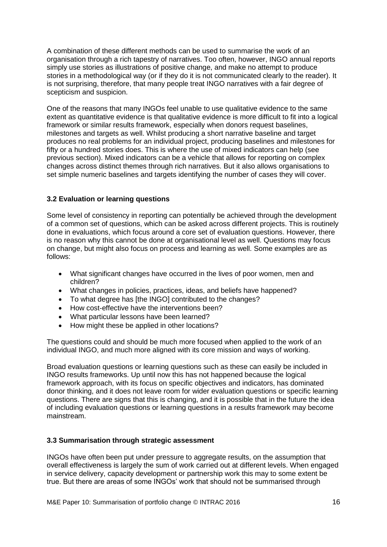A combination of these different methods can be used to summarise the work of an organisation through a rich tapestry of narratives. Too often, however, INGO annual reports simply use stories as illustrations of positive change, and make no attempt to produce stories in a methodological way (or if they do it is not communicated clearly to the reader). It is not surprising, therefore, that many people treat INGO narratives with a fair degree of scepticism and suspicion.

One of the reasons that many INGOs feel unable to use qualitative evidence to the same extent as quantitative evidence is that qualitative evidence is more difficult to fit into a logical framework or similar results framework, especially when donors request baselines, milestones and targets as well. Whilst producing a short narrative baseline and target produces no real problems for an individual project, producing baselines and milestones for fifty or a hundred stories does. This is where the use of mixed indicators can help (see previous section). Mixed indicators can be a vehicle that allows for reporting on complex changes across distinct themes through rich narratives. But it also allows organisations to set simple numeric baselines and targets identifying the number of cases they will cover.

### **3.2 Evaluation or learning questions**

Some level of consistency in reporting can potentially be achieved through the development of a common set of questions, which can be asked across different projects. This is routinely done in evaluations, which focus around a core set of evaluation questions. However, there is no reason why this cannot be done at organisational level as well. Questions may focus on change, but might also focus on process and learning as well. Some examples are as follows:

- What significant changes have occurred in the lives of poor women, men and children?
- What changes in policies, practices, ideas, and beliefs have happened?
- To what degree has [the INGO] contributed to the changes?
- How cost-effective have the interventions been?
- What particular lessons have been learned?
- How might these be applied in other locations?

The questions could and should be much more focused when applied to the work of an individual INGO, and much more aligned with its core mission and ways of working.

Broad evaluation questions or learning questions such as these can easily be included in INGO results frameworks. Up until now this has not happened because the logical framework approach, with its focus on specific objectives and indicators, has dominated donor thinking, and it does not leave room for wider evaluation questions or specific learning questions. There are signs that this is changing, and it is possible that in the future the idea of including evaluation questions or learning questions in a results framework may become mainstream.

### **3.3 Summarisation through strategic assessment**

INGOs have often been put under pressure to aggregate results, on the assumption that overall effectiveness is largely the sum of work carried out at different levels. When engaged in service delivery, capacity development or partnership work this may to some extent be true. But there are areas of some INGOs' work that should not be summarised through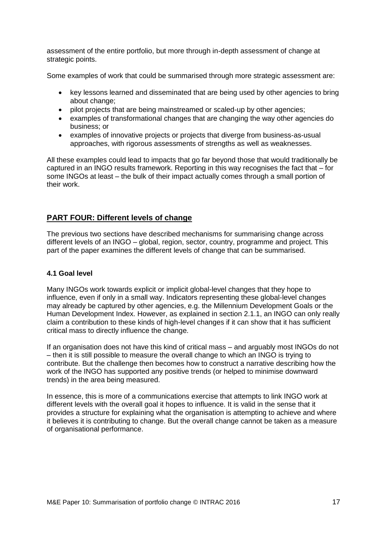assessment of the entire portfolio, but more through in-depth assessment of change at strategic points.

Some examples of work that could be summarised through more strategic assessment are:

- key lessons learned and disseminated that are being used by other agencies to bring about change;
- pilot projects that are being mainstreamed or scaled-up by other agencies;
- examples of transformational changes that are changing the way other agencies do business; or
- examples of innovative projects or projects that diverge from business-as-usual approaches, with rigorous assessments of strengths as well as weaknesses.

All these examples could lead to impacts that go far beyond those that would traditionally be captured in an INGO results framework. Reporting in this way recognises the fact that – for some INGOs at least – the bulk of their impact actually comes through a small portion of their work.

# **PART FOUR: Different levels of change**

The previous two sections have described mechanisms for summarising change across different levels of an INGO – global, region, sector, country, programme and project. This part of the paper examines the different levels of change that can be summarised.

### **4.1 Goal level**

Many INGOs work towards explicit or implicit global-level changes that they hope to influence, even if only in a small way. Indicators representing these global-level changes may already be captured by other agencies, e.g. the Millennium Development Goals or the Human Development Index. However, as explained in section 2.1.1, an INGO can only really claim a contribution to these kinds of high-level changes if it can show that it has sufficient critical mass to directly influence the change.

If an organisation does not have this kind of critical mass – and arguably most INGOs do not – then it is still possible to measure the overall change to which an INGO is trying to contribute. But the challenge then becomes how to construct a narrative describing how the work of the INGO has supported any positive trends (or helped to minimise downward trends) in the area being measured.

In essence, this is more of a communications exercise that attempts to link INGO work at different levels with the overall goal it hopes to influence. It is valid in the sense that it provides a structure for explaining what the organisation is attempting to achieve and where it believes it is contributing to change. But the overall change cannot be taken as a measure of organisational performance.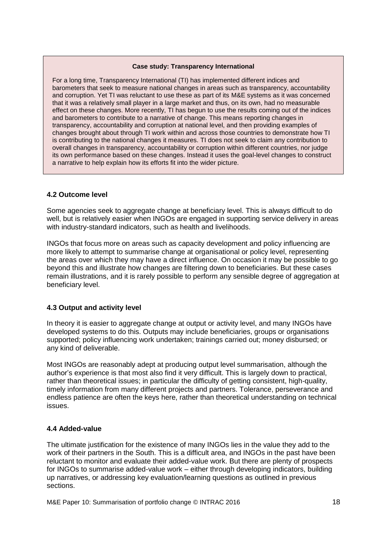#### **Case study: Transparency International**

For a long time, Transparency International (TI) has implemented different indices and barometers that seek to measure national changes in areas such as transparency, accountability and corruption. Yet TI was reluctant to use these as part of its M&E systems as it was concerned that it was a relatively small player in a large market and thus, on its own, had no measurable effect on these changes. More recently, TI has begun to use the results coming out of the indices and barometers to contribute to a narrative of change. This means reporting changes in transparency, accountability and corruption at national level, and then providing examples of changes brought about through TI work within and across those countries to demonstrate how TI is contributing to the national changes it measures. TI does not seek to claim any contribution to overall changes in transparency, accountability or corruption within different countries, nor judge its own performance based on these changes. Instead it uses the goal-level changes to construct a narrative to help explain how its efforts fit into the wider picture.

### **4.2 Outcome level**

Some agencies seek to aggregate change at beneficiary level. This is always difficult to do well, but is relatively easier when INGOs are engaged in supporting service delivery in areas with industry-standard indicators, such as health and livelihoods.

INGOs that focus more on areas such as capacity development and policy influencing are more likely to attempt to summarise change at organisational or policy level, representing the areas over which they may have a direct influence. On occasion it may be possible to go beyond this and illustrate how changes are filtering down to beneficiaries. But these cases remain illustrations, and it is rarely possible to perform any sensible degree of aggregation at beneficiary level.

### **4.3 Output and activity level**

In theory it is easier to aggregate change at output or activity level, and many INGOs have developed systems to do this. Outputs may include beneficiaries, groups or organisations supported; policy influencing work undertaken; trainings carried out; money disbursed; or any kind of deliverable.

Most INGOs are reasonably adept at producing output level summarisation, although the author's experience is that most also find it very difficult. This is largely down to practical, rather than theoretical issues; in particular the difficulty of getting consistent, high-quality, timely information from many different projects and partners. Tolerance, perseverance and endless patience are often the keys here, rather than theoretical understanding on technical issues.

### **4.4 Added-value**

The ultimate justification for the existence of many INGOs lies in the value they add to the work of their partners in the South. This is a difficult area, and INGOs in the past have been reluctant to monitor and evaluate their added-value work. But there are plenty of prospects for INGOs to summarise added-value work – either through developing indicators, building up narratives, or addressing key evaluation/learning questions as outlined in previous sections.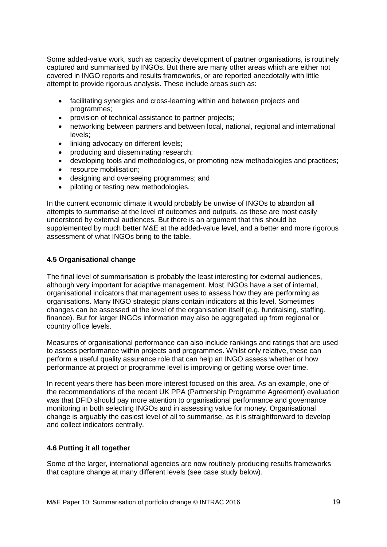Some added-value work, such as capacity development of partner organisations, is routinely captured and summarised by INGOs. But there are many other areas which are either not covered in INGO reports and results frameworks, or are reported anecdotally with little attempt to provide rigorous analysis. These include areas such as:

- facilitating synergies and cross-learning within and between projects and programmes;
- provision of technical assistance to partner projects;
- networking between partners and between local, national, regional and international levels;
- linking advocacy on different levels;
- producing and disseminating research;
- developing tools and methodologies, or promoting new methodologies and practices;
- resource mobilisation:
- designing and overseeing programmes; and
- piloting or testing new methodologies.

In the current economic climate it would probably be unwise of INGOs to abandon all attempts to summarise at the level of outcomes and outputs, as these are most easily understood by external audiences. But there is an argument that this should be supplemented by much better M&E at the added-value level, and a better and more rigorous assessment of what INGOs bring to the table.

### **4.5 Organisational change**

The final level of summarisation is probably the least interesting for external audiences, although very important for adaptive management. Most INGOs have a set of internal, organisational indicators that management uses to assess how they are performing as organisations. Many INGO strategic plans contain indicators at this level. Sometimes changes can be assessed at the level of the organisation itself (e.g. fundraising, staffing, finance). But for larger INGOs information may also be aggregated up from regional or country office levels.

Measures of organisational performance can also include rankings and ratings that are used to assess performance within projects and programmes. Whilst only relative, these can perform a useful quality assurance role that can help an INGO assess whether or how performance at project or programme level is improving or getting worse over time.

In recent years there has been more interest focused on this area. As an example, one of the recommendations of the recent UK PPA (Partnership Programme Agreement) evaluation was that DFID should pay more attention to organisational performance and governance monitoring in both selecting INGOs and in assessing value for money. Organisational change is arguably the easiest level of all to summarise, as it is straightforward to develop and collect indicators centrally.

# **4.6 Putting it all together**

Some of the larger, international agencies are now routinely producing results frameworks that capture change at many different levels (see case study below).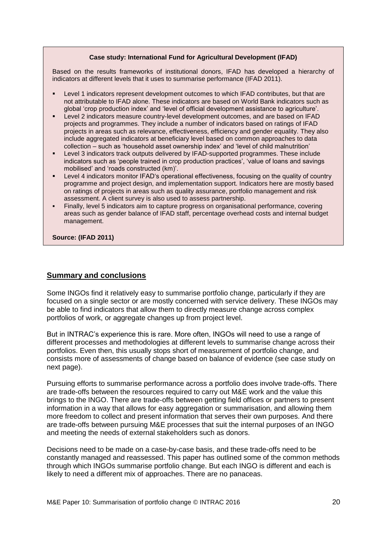#### **Case study: International Fund for Agricultural Development (IFAD)**

Based on the results frameworks of institutional donors, IFAD has developed a hierarchy of indicators at different levels that it uses to summarise performance (IFAD 2011).

- Level 1 indicators represent development outcomes to which IFAD contributes, but that are not attributable to IFAD alone. These indicators are based on World Bank indicators such as global 'crop production index' and 'level of official development assistance to agriculture'.
- Level 2 indicators measure country-level development outcomes, and are based on IFAD projects and programmes. They include a number of indicators based on ratings of IFAD projects in areas such as relevance, effectiveness, efficiency and gender equality. They also include aggregated indicators at beneficiary level based on common approaches to data collection – such as 'household asset ownership index' and 'level of child malnutrition'
- Level 3 indicators track outputs delivered by IFAD-supported programmes. These include indicators such as 'people trained in crop production practices', 'value of loans and savings mobilised' and 'roads constructed (km)'.
- Level 4 indicators monitor IFAD's operational effectiveness, focusing on the quality of country programme and project design, and implementation support. Indicators here are mostly based on ratings of projects in areas such as quality assurance, portfolio management and risk assessment. A client survey is also used to assess partnership.
- Finally, level 5 indicators aim to capture progress on organisational performance, covering areas such as gender balance of IFAD staff, percentage overhead costs and internal budget management.

**Source: (IFAD 2011)**

### **Summary and conclusions**

Some INGOs find it relatively easy to summarise portfolio change, particularly if they are focused on a single sector or are mostly concerned with service delivery. These INGOs may be able to find indicators that allow them to directly measure change across complex portfolios of work, or aggregate changes up from project level.

But in INTRAC's experience this is rare. More often, INGOs will need to use a range of different processes and methodologies at different levels to summarise change across their portfolios. Even then, this usually stops short of measurement of portfolio change, and consists more of assessments of change based on balance of evidence (see case study on next page).

Pursuing efforts to summarise performance across a portfolio does involve trade-offs. There are trade-offs between the resources required to carry out M&E work and the value this brings to the INGO. There are trade-offs between getting field offices or partners to present information in a way that allows for easy aggregation or summarisation, and allowing them more freedom to collect and present information that serves their own purposes. And there are trade-offs between pursuing M&E processes that suit the internal purposes of an INGO and meeting the needs of external stakeholders such as donors.

Decisions need to be made on a case-by-case basis, and these trade-offs need to be constantly managed and reassessed. This paper has outlined some of the common methods through which INGOs summarise portfolio change. But each INGO is different and each is likely to need a different mix of approaches. There are no panaceas.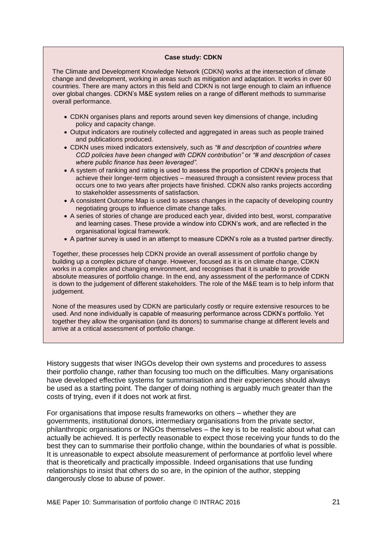#### **Case study: CDKN**

The Climate and Development Knowledge Network (CDKN) works at the intersection of climate change and development, working in areas such as mitigation and adaptation. It works in over 60 countries. There are many actors in this field and CDKN is not large enough to claim an influence over global changes. CDKN's M&E system relies on a range of different methods to summarise overall performance.

- CDKN organises plans and reports around seven key dimensions of change, including policy and capacity change.
- Output indicators are routinely collected and aggregated in areas such as people trained and publications produced.
- CDKN uses mixed indicators extensively, such as *"# and description of countries where CCD policies have been changed with CDKN contribution"* or *"# and description of cases where public finance has been leveraged".*
- A system of ranking and rating is used to assess the proportion of CDKN's projects that achieve their longer-term objectives – measured through a consistent review process that occurs one to two years after projects have finished. CDKN also ranks projects according to stakeholder assessments of satisfaction.
- A consistent Outcome Map is used to assess changes in the capacity of developing country negotiating groups to influence climate change talks.
- A series of stories of change are produced each year, divided into best, worst, comparative and learning cases. These provide a window into CDKN's work, and are reflected in the organisational logical framework.
- A partner survey is used in an attempt to measure CDKN's role as a trusted partner directly.

Together, these processes help CDKN provide an overall assessment of portfolio change by building up a complex picture of change. However, focused as it is on climate change, CDKN works in a complex and changing environment, and recognises that it is unable to provide absolute measures of portfolio change. In the end, any assessment of the performance of CDKN is down to the judgement of different stakeholders. The role of the M&E team is to help inform that judgement.

None of the measures used by CDKN are particularly costly or require extensive resources to be used. And none individually is capable of measuring performance across CDKN's portfolio. Yet together they allow the organisation (and its donors) to summarise change at different levels and arrive at a critical assessment of portfolio change.

History suggests that wiser INGOs develop their own systems and procedures to assess their portfolio change, rather than focusing too much on the difficulties. Many organisations have developed effective systems for summarisation and their experiences should always be used as a starting point. The danger of doing nothing is arguably much greater than the costs of trying, even if it does not work at first.

For organisations that impose results frameworks on others – whether they are governments, institutional donors, intermediary organisations from the private sector, philanthropic organisations or INGOs themselves – the key is to be realistic about what can actually be achieved. It is perfectly reasonable to expect those receiving your funds to do the best they can to summarise their portfolio change, within the boundaries of what is possible. It is unreasonable to expect absolute measurement of performance at portfolio level where that is theoretically and practically impossible. Indeed organisations that use funding relationships to insist that others do so are, in the opinion of the author, stepping dangerously close to abuse of power.